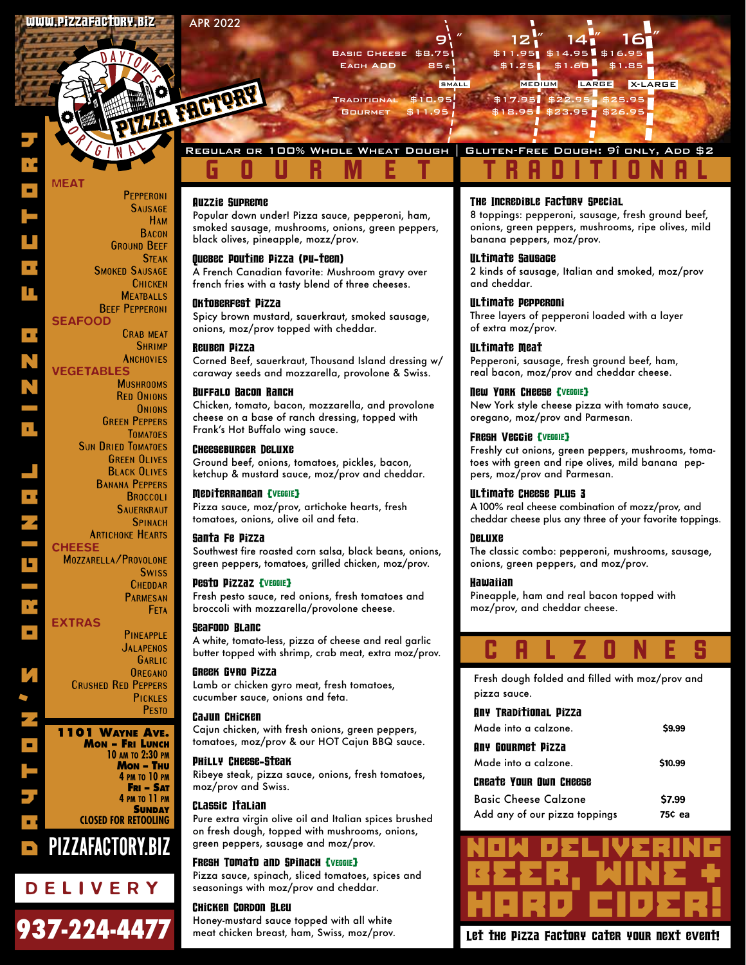ZR FRET?

**Pepperoni Sausage Ham Bacon Ground Beef Steak**

 **Smoked Sausage Chicken Meatballs Beef Pepperoni**

> **Crab meat Shrimp Anchovies**

**Mushrooms Red Onions Onions Green Peppers Tomatoes**

**Sun Dried Tomatoes Green Olives Black Olives Banana Peppers Broccoli SAUERKRAUT Spinach**

**Artichoke Hearts**

**Swiss Cheddar Parmesan Feta**

**Pineapple Jalapenos Garlic Oregano**

> **Pickles Pesto**

**10 am to 2:30 pm Mon – Thu 4 pm to 10 pm Fri – Sat 4 pm to 11 pm SUNDAY** 

**Mozzarella/Provolone**

**Crushed Red Peppers**

**1101 Wayne Ave. Mon – Fri Lunch**

937-224-4477

DELIVERY

PIZZAFACTORY.BIZ

**CLOSED FOR RETOOLING**

MEAT

**SEAFOOD** 

VEGETABLES

**CHEESE** 

JAYTON'S ORIGINAL PIZZA FACTORY AND PIZZA

EXTRAS



Traditional \$10.95 \$17.95 \$22.95 \$25.95 Gourmet \$11.95 \$18.95 \$23.95 \$26.95

Regular or 100% Whole Wheat Dough | Gluten-Free Dough: 9" only, Add \$2

## GOURMET TRADITIONAL

#### Auzzie Supreme

Popular down under! Pizza sauce, pepperoni, ham, smoked sausage, mushrooms, onions, green peppers, black olives, pineapple, mozz/prov.

#### Quebec Poutine Pizza (pu-teen)

A French Canadian favorite: Mushroom gravy over french fries with a tasty blend of three cheeses.

#### Oktoberfest Pizza

Spicy brown mustard, sauerkraut, smoked sausage, onions, moz/prov topped with cheddar.

#### Reuben Pizza

Corned Beef, sauerkraut, Thousand Island dressing w/ caraway seeds and mozzarella, provolone & Swiss.

#### Buffalo Bacon Ranch

Chicken, tomato, bacon, mozzarella, and provolone cheese on a base of ranch dressing, topped with Frank's Hot Buffalo wing sauce.

#### Cheeseburger Deluxe

Ground beef, onions, tomatoes, pickles, bacon, ketchup & mustard sauce, moz/prov and cheddar.

#### Mediterranean {VEGGIE}

Pizza sauce, moz/prov, artichoke hearts, fresh tomatoes, onions, olive oil and feta.

#### Santa Fe Pizza

Southwest fire roasted corn salsa, black beans, onions, green peppers, tomatoes, grilled chicken, moz/prov.

#### Pesto Pizzaz {VEGGIE}

Fresh pesto sauce, red onions, fresh tomatoes and broccoli with mozzarella/provolone cheese.

#### Seafood Blanc

A white, tomato-less, pizza of cheese and real garlic butter topped with shrimp, crab meat, extra moz/prov.

#### Greek Gyro Pizza

Lamb or chicken gyro meat, fresh tomatoes, cucumber sauce, onions and feta.

#### Cajun Chicken

Cajun chicken, with fresh onions, green peppers, tomatoes, moz/prov & our HOT Cajun BBQ sauce.

#### Philly Cheese-Steak

Ribeye steak, pizza sauce, onions, fresh tomatoes, moz/prov and Swiss.

#### Classic Italian

Pure extra virgin olive oil and Italian spices brushed on fresh dough, topped with mushrooms, onions, green peppers, sausage and moz/prov.

#### FRESH TOMATO and SPINACH [VEGGIE]

Pizza sauce, spinach, sliced tomatoes, spices and seasonings with moz/prov and cheddar.

#### Chicken Cordon Bleu

Honey-mustard sauce topped with all white meat chicken breast, ham, Swiss, moz/prov.

#### The Incredible Factory Special

8 toppings: pepperoni, sausage, fresh ground beef, onions, green peppers, mushrooms, ripe olives, mild banana peppers, moz/prov.

#### Ultimate Sausage

2 kinds of sausage, Italian and smoked, moz/prov and cheddar.

#### Ultimate Pepperoni

Three layers of pepperoni loaded with a layer of extra moz/prov.

#### Ultimate Meat

Pepperoni, sausage, fresh ground beef, ham, real bacon, moz/prov and cheddar cheese.

#### New York Cheese {VEGGIE}

New York style cheese pizza with tomato sauce, oregano, moz/prov and Parmesan.

#### Fresh Veggie {VEGGIE}

Freshly cut onions, green peppers, mushrooms, tomatoes with green and ripe olives, mild banana peppers, moz/prov and Parmesan.

#### Ultimate Cheese Plus 3

A 100% real cheese combination of mozz/prov, and cheddar cheese plus any three of your favorite toppings.

#### Deluxe

The classic combo: pepperoni, mushrooms, sausage, onions, green peppers, and moz/prov.

#### **Hawaiian**

Pineapple, ham and real bacon topped with moz/prov, and cheddar cheese.



Fresh dough folded and filled with moz/prov and pizza sauce.

| Any Traditional Pizza |        |
|-----------------------|--------|
| Made into a calzone.  | \$9.99 |

| Any Gourmet Pizza           |         |
|-----------------------------|---------|
| Made into a calzone.        | \$10.99 |
| Create Your Own Cheese      |         |
| <b>Basic Cheese Calzone</b> | \$7.99  |